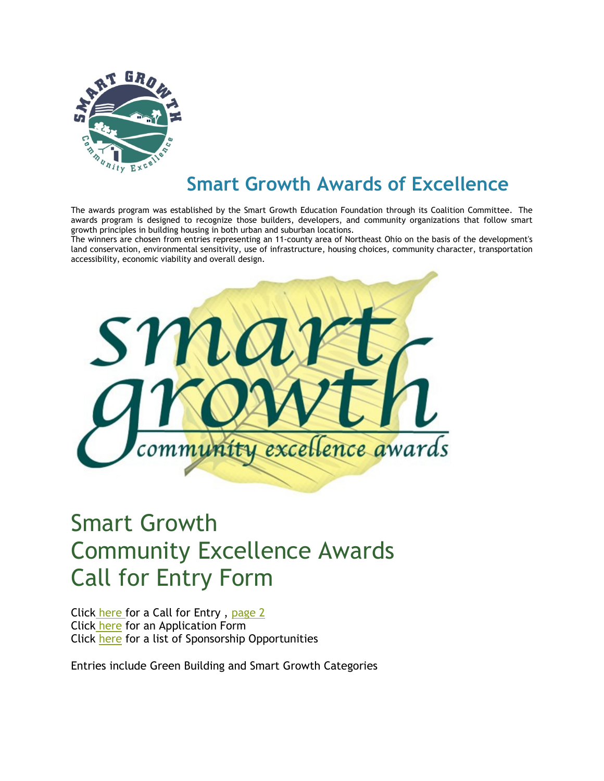

## Smart Growth Awards of Excellence

The awards program was established by the Smart Growth Education Foundation through its Coalition Committee. The awards program is designed to recognize those builders, developers, and community organizations that follow smart growth principles in building housing in both urban and suburban locations.

The winners are chosen from entries representing an 11-county area of Northeast Ohio on the basis of the development's land conservation, environmental sensitivity, use of infrastructure, housing choices, community character, transportation accessibility, economic viability and overall design.



## Smart Growth Community Excellence Awards Call for Entry Form

Click here for a Call for Entry, page 2 Click here for an Application Form Click here for a list of Sponsorship Opportunities

Entries include Green Building and Smart Growth Categories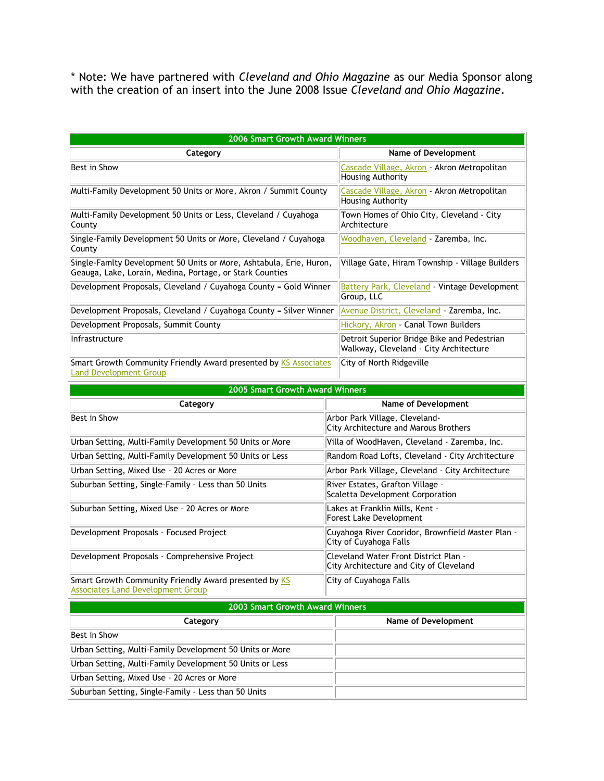\* Note: We have partnered with Cleveland and Ohio Magazine as our Media Sponsor along with the creation of an insert into the June 2008 Issue Cleveland and Ohio Magazine.

| <b>2006 Smart Growth Award Winners</b>                                                                                          |                                                                                       |  |  |  |
|---------------------------------------------------------------------------------------------------------------------------------|---------------------------------------------------------------------------------------|--|--|--|
| Category                                                                                                                        | <b>Name of Development</b>                                                            |  |  |  |
| Best in Show                                                                                                                    | Cascade Village, Akron - Akron Metropolitan<br>Housing Authority                      |  |  |  |
| Multi-Family Development 50 Units or More, Akron / Summit County                                                                | Cascade Village, Akron - Akron Metropolitan<br><b>Housing Authority</b>               |  |  |  |
| Multi-Family Development 50 Units or Less, Cleveland / Cuyahoga<br>County                                                       | Town Homes of Ohio City, Cleveland - City<br>Architecture                             |  |  |  |
| Single-Family Development 50 Units or More, Cleveland / Cuyahoga<br>County                                                      | Woodhaven, Cleveland - Zaremba, Inc.                                                  |  |  |  |
| Single-Famlty Development 50 Units or More, Ashtabula, Erie, Huron,<br>Geauga, Lake, Lorain, Medina, Portage, or Stark Counties | Village Gate, Hiram Township - Village Builders                                       |  |  |  |
| Development Proposals, Cleveland / Cuyahoga County = Gold Winner                                                                | <b>Battery Park, Cleveland - Vintage Development</b><br>Group, LLC                    |  |  |  |
| Development Proposals, Cleveland / Cuyahoga County = Silver Winner                                                              | Avenue District, Cleveland - Zaremba, Inc.                                            |  |  |  |
| Development Proposals, Summit County                                                                                            | Hickory, Akron - Canal Town Builders                                                  |  |  |  |
| Infrastructure                                                                                                                  | Detroit Superior Bridge Bike and Pedestrian<br>Walkway, Cleveland - City Architecture |  |  |  |
| Smart Growth Community Friendly Award presented by KS Associates<br><b>Land Development Group</b>                               | City of North Ridgeville                                                              |  |  |  |
| <b>2005 Smart Growth Award Winners</b>                                                                                          |                                                                                       |  |  |  |
| Category                                                                                                                        | <b>Name of Development</b>                                                            |  |  |  |
| Best in Show                                                                                                                    | Arbor Park Village, Cleveland-<br>City Architecture and Marous Brothers               |  |  |  |
| Urban Setting, Multi-Family Development 50 Units or More                                                                        | Villa of WoodHaven, Cleveland - Zaremba, Inc.                                         |  |  |  |
| Urban Setting, Multi-Family Development 50 Units or Less                                                                        | Random Road Lofts, Cleveland - City Architecture                                      |  |  |  |
| Urban Setting, Mixed Use - 20 Acres or More                                                                                     | Arbor Park Village, Cleveland - City Architecture                                     |  |  |  |
| Suburban Setting, Single-Family - Less than 50 Units                                                                            | River Estates, Grafton Village -<br>Scaletta Development Corporation                  |  |  |  |
| Suburban Setting, Mixed Use - 20 Acres or More                                                                                  | Lakes at Franklin Mills, Kent -<br>Forest Lake Development                            |  |  |  |
| Development Proposals - Focused Project                                                                                         | Cuyahoga River Cooridor, Brownfield Master Plan -<br>City of Cuyahoga Falls           |  |  |  |
| Development Proposals - Comprehensive Project                                                                                   | Cleveland Water Front District Plan -<br>City Architecture and City of Cleveland      |  |  |  |
| Smart Growth Community Friendly Award presented by KS<br><b>Associates Land Development Group</b>                               | City of Cuyahoga Falls                                                                |  |  |  |
| 2003 Smart Growth Award Winners                                                                                                 |                                                                                       |  |  |  |
| Category                                                                                                                        | Name of Development                                                                   |  |  |  |
| Best in Show                                                                                                                    |                                                                                       |  |  |  |
| Urban Setting, Multi-Family Development 50 Units or More                                                                        |                                                                                       |  |  |  |
|                                                                                                                                 |                                                                                       |  |  |  |
| Urban Setting, Multi-Family Development 50 Units or Less                                                                        |                                                                                       |  |  |  |
| Urban Setting, Mixed Use - 20 Acres or More                                                                                     |                                                                                       |  |  |  |